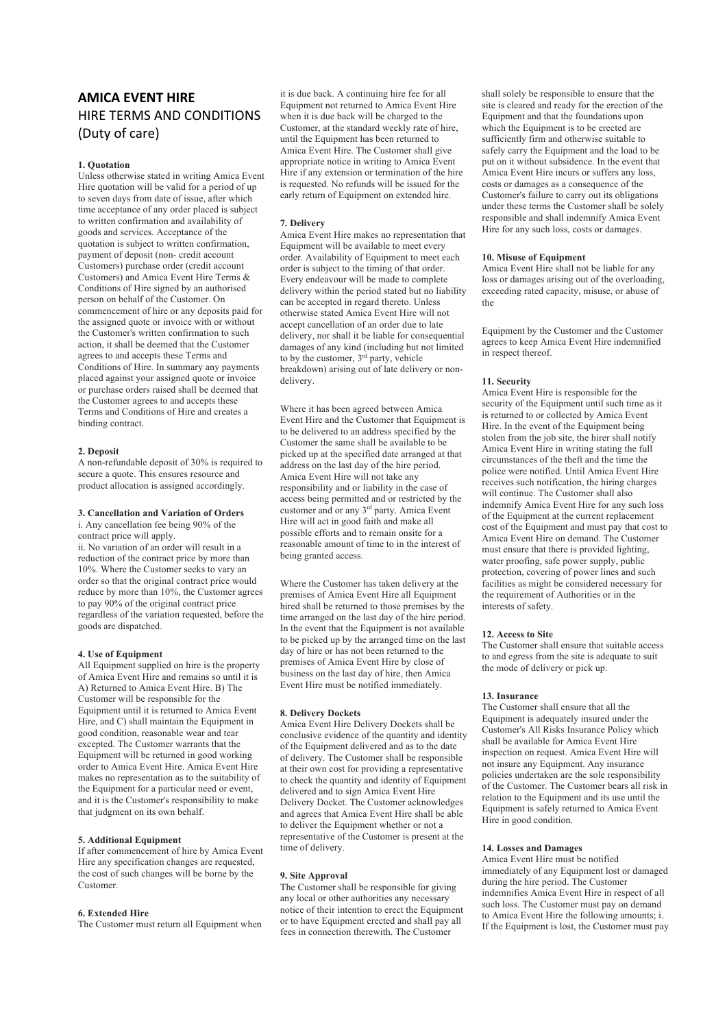# **AMICA EVENT HIRE**  HIRE TERMS AND CONDITIONS (Duty of care)

# **1. Quotation**

Unless otherwise stated in writing Amica Event Hire quotation will be valid for a period of up to seven days from date of issue, after which time acceptance of any order placed is subject to written confirmation and availability of goods and services. Acceptance of the quotation is subject to written confirmation, payment of deposit (non- credit account Customers) purchase order (credit account Customers) and Amica Event Hire Terms & Conditions of Hire signed by an authorised person on behalf of the Customer. On commencement of hire or any deposits paid for the assigned quote or invoice with or without the Customer's written confirmation to such action, it shall be deemed that the Customer agrees to and accepts these Terms and Conditions of Hire. In summary any payments placed against your assigned quote or invoice or purchase orders raised shall be deemed that the Customer agrees to and accepts these Terms and Conditions of Hire and creates a binding contract.

#### **2. Deposit**

A non-refundable deposit of 30% is required to secure a quote. This ensures resource and product allocation is assigned accordingly.

#### **3. Cancellation and Variation of Orders**

i. Any cancellation fee being 90% of the contract price will apply. ii. No variation of an order will result in a reduction of the contract price by more than 10%. Where the Customer seeks to vary an

order so that the original contract price would reduce by more than 10%, the Customer agrees to pay 90% of the original contract price regardless of the variation requested, before the goods are dispatched.

## **4. Use of Equipment**

All Equipment supplied on hire is the property of Amica Event Hire and remains so until it is A) Returned to Amica Event Hire. B) The Customer will be responsible for the Equipment until it is returned to Amica Event Hire, and C) shall maintain the Equipment in good condition, reasonable wear and tear excepted. The Customer warrants that the Equipment will be returned in good working order to Amica Event Hire. Amica Event Hire makes no representation as to the suitability of the Equipment for a particular need or event, and it is the Customer's responsibility to make that judgment on its own behalf.

#### **5. Additional Equipment**

If after commencement of hire by Amica Event Hire any specification changes are requested, the cost of such changes will be borne by the Customer.

# **6. Extended Hire**

The Customer must return all Equipment when

it is due back. A continuing hire fee for all Equipment not returned to Amica Event Hire when it is due back will be charged to the Customer, at the standard weekly rate of hire, until the Equipment has been returned to Amica Event Hire. The Customer shall give appropriate notice in writing to Amica Event Hire if any extension or termination of the hire is requested. No refunds will be issued for the early return of Equipment on extended hire.

## **7. Delivery**

Amica Event Hire makes no representation that Equipment will be available to meet every order. Availability of Equipment to meet each order is subject to the timing of that order. Every endeavour will be made to complete delivery within the period stated but no liability can be accepted in regard thereto. Unless otherwise stated Amica Event Hire will not accept cancellation of an order due to late delivery, nor shall it be liable for consequential damages of any kind (including but not limited to by the customer,  $3<sup>rd</sup>$  party, vehicle breakdown) arising out of late delivery or nondelivery.

Where it has been agreed between Amica Event Hire and the Customer that Equipment is to be delivered to an address specified by the Customer the same shall be available to be picked up at the specified date arranged at that address on the last day of the hire period. Amica Event Hire will not take any responsibility and or liability in the case of access being permitted and or restricted by the customer and or any  $3<sup>rd</sup>$  party. Amica Event Hire will act in good faith and make all possible efforts and to remain onsite for a reasonable amount of time to in the interest of being granted access.

Where the Customer has taken delivery at the premises of Amica Event Hire all Equipment hired shall be returned to those premises by the time arranged on the last day of the hire period. In the event that the Equipment is not available to be picked up by the arranged time on the last day of hire or has not been returned to the premises of Amica Event Hire by close of business on the last day of hire, then Amica Event Hire must be notified immediately.

# **8. Delivery Dockets**

Amica Event Hire Delivery Dockets shall be conclusive evidence of the quantity and identity of the Equipment delivered and as to the date of delivery. The Customer shall be responsible at their own cost for providing a representative to check the quantity and identity of Equipment delivered and to sign Amica Event Hire Delivery Docket. The Customer acknowledges and agrees that Amica Event Hire shall be able to deliver the Equipment whether or not a representative of the Customer is present at the time of delivery.

#### **9. Site Approval**

The Customer shall be responsible for giving any local or other authorities any necessary notice of their intention to erect the Equipment or to have Equipment erected and shall pay all fees in connection therewith. The Customer

shall solely be responsible to ensure that the site is cleared and ready for the erection of the Equipment and that the foundations upon which the Equipment is to be erected are sufficiently firm and otherwise suitable to safely carry the Equipment and the load to be put on it without subsidence. In the event that Amica Event Hire incurs or suffers any loss, costs or damages as a consequence of the Customer's failure to carry out its obligations under these terms the Customer shall be solely responsible and shall indemnify Amica Event Hire for any such loss, costs or damages.

#### **10. Misuse of Equipment**

Amica Event Hire shall not be liable for any loss or damages arising out of the overloading, exceeding rated capacity, misuse, or abuse of the

Equipment by the Customer and the Customer agrees to keep Amica Event Hire indemnified in respect thereof.

#### **11. Security**

Amica Event Hire is responsible for the security of the Equipment until such time as it is returned to or collected by Amica Event Hire. In the event of the Equipment being stolen from the job site, the hirer shall notify Amica Event Hire in writing stating the full circumstances of the theft and the time the police were notified. Until Amica Event Hire receives such notification, the hiring charges will continue. The Customer shall also indemnify Amica Event Hire for any such loss of the Equipment at the current replacement cost of the Equipment and must pay that cost to Amica Event Hire on demand. The Customer must ensure that there is provided lighting, water proofing, safe power supply, public protection, covering of power lines and such facilities as might be considered necessary for the requirement of Authorities or in the interests of safety.

# **12. Access to Site**

The Customer shall ensure that suitable access to and egress from the site is adequate to suit the mode of delivery or pick up.

#### **13. Insurance**

The Customer shall ensure that all the Equipment is adequately insured under the Customer's All Risks Insurance Policy which shall be available for Amica Event Hire inspection on request. Amica Event Hire will not insure any Equipment. Any insurance policies undertaken are the sole responsibility of the Customer. The Customer bears all risk in relation to the Equipment and its use until the Equipment is safely returned to Amica Event Hire in good condition.

#### **14. Losses and Damages**

Amica Event Hire must be notified immediately of any Equipment lost or damaged during the hire period. The Customer indemnifies Amica Event Hire in respect of all such loss. The Customer must pay on demand to Amica Event Hire the following amounts; i. If the Equipment is lost, the Customer must pay